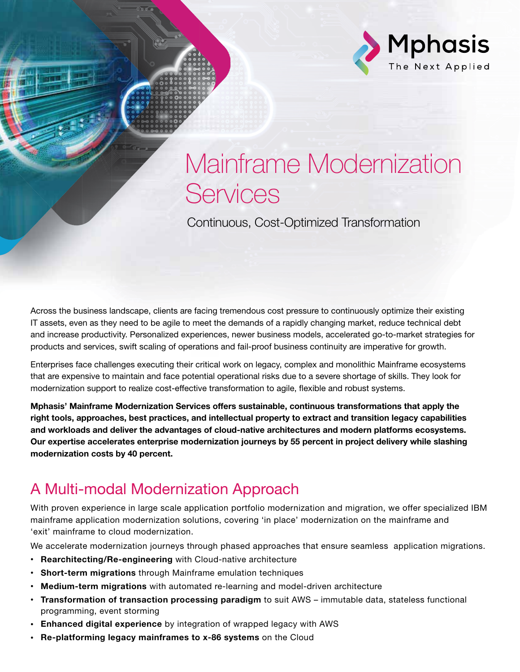

# Mainframe Modernization **Services**

Continuous, Cost-Optimized Transformation

Across the business landscape, clients are facing tremendous cost pressure to continuously optimize their existing IT assets, even as they need to be agile to meet the demands of a rapidly changing market, reduce technical debt and increase productivity. Personalized experiences, newer business models, accelerated go-to-market strategies for products and services, swift scaling of operations and fail-proof business continuity are imperative for growth.

Enterprises face challenges executing their critical work on legacy, complex and monolithic Mainframe ecosystems that are expensive to maintain and face potential operational risks due to a severe shortage of skills. They look for modernization support to realize cost-effective transformation to agile, flexible and robust systems.

Mphasis' Mainframe Modernization Services offers sustainable, continuous transformations that apply the right tools, approaches, best practices, and intellectual property to extract and transition legacy capabilities and workloads and deliver the advantages of cloud-native architectures and modern platforms ecosystems. Our expertise accelerates enterprise modernization journeys by 55 percent in project delivery while slashing modernization costs by 40 percent.

# A Multi-modal Modernization Approach

With proven experience in large scale application portfolio modernization and migration, we offer specialized IBM mainframe application modernization solutions, covering 'in place' modernization on the mainframe and 'exit' mainframe to cloud modernization.

We accelerate modernization journeys through phased approaches that ensure seamless application migrations.

- Rearchitecting/Re-engineering with Cloud-native architecture
- Short-term migrations through Mainframe emulation techniques
- Medium-term migrations with automated re-learning and model-driven architecture
- Transformation of transaction processing paradigm to suit AWS immutable data, stateless functional programming, event storming
- Enhanced digital experience by integration of wrapped legacy with AWS
- Re-platforming legacy mainframes to x-86 systems on the Cloud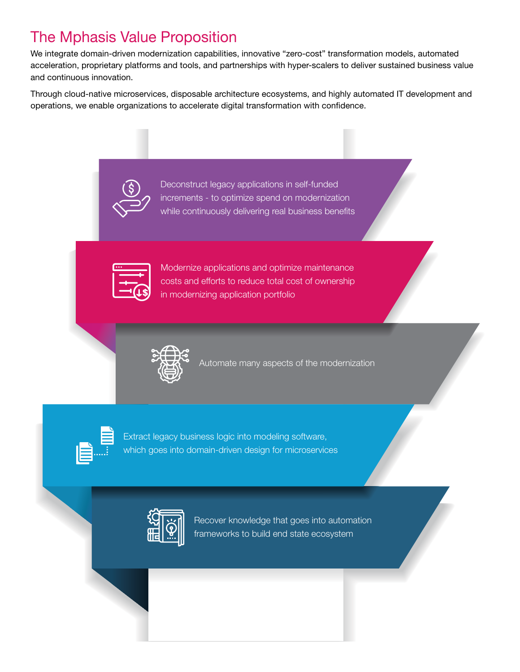# The Mphasis Value Proposition

We integrate domain-driven modernization capabilities, innovative "zero-cost" transformation models, automated acceleration, proprietary platforms and tools, and partnerships with hyper-scalers to deliver sustained business value and continuous innovation.

Through cloud-native microservices, disposable architecture ecosystems, and highly automated IT development and operations, we enable organizations to accelerate digital transformation with confidence.



Deconstruct legacy applications in self-funded increments - to optimize spend on modernization while continuously delivering real business benefits



Modernize applications and optimize maintenance costs and efforts to reduce total cost of ownership in modernizing application portfolio



Automate many aspects of the modernization



Extract legacy business logic into modeling software, which goes into domain-driven design for microservices



Recover knowledge that goes into automation frameworks to build end state ecosystem